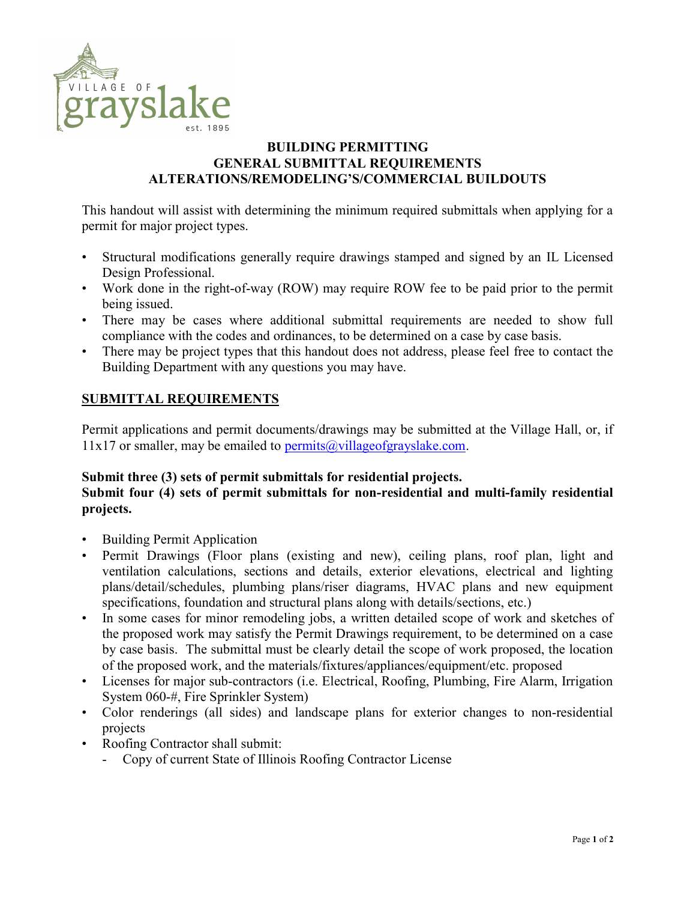

## BUILDING PERMITTING GENERAL SUBMITTAL REQUIREMENTS ALTERATIONS/REMODELING'S/COMMERCIAL BUILDOUTS

This handout will assist with determining the minimum required submittals when applying for a permit for major project types.

- Structural modifications generally require drawings stamped and signed by an IL Licensed Design Professional.
- Work done in the right-of-way (ROW) may require ROW fee to be paid prior to the permit being issued.
- There may be cases where additional submittal requirements are needed to show full compliance with the codes and ordinances, to be determined on a case by case basis.
- There may be project types that this handout does not address, please feel free to contact the Building Department with any questions you may have.

## SUBMITTAL REQUIREMENTS

Permit applications and permit documents/drawings may be submitted at the Village Hall, or, if  $11x17$  or smaller, may be emailed to permits  $\omega$  village of grayslake.com.

## Submit three (3) sets of permit submittals for residential projects.

## Submit four (4) sets of permit submittals for non-residential and multi-family residential projects.

- Building Permit Application
- Permit Drawings (Floor plans (existing and new), ceiling plans, roof plan, light and ventilation calculations, sections and details, exterior elevations, electrical and lighting plans/detail/schedules, plumbing plans/riser diagrams, HVAC plans and new equipment specifications, foundation and structural plans along with details/sections, etc.)
- In some cases for minor remodeling jobs, a written detailed scope of work and sketches of the proposed work may satisfy the Permit Drawings requirement, to be determined on a case by case basis. The submittal must be clearly detail the scope of work proposed, the location of the proposed work, and the materials/fixtures/appliances/equipment/etc. proposed
- Licenses for major sub-contractors (i.e. Electrical, Roofing, Plumbing, Fire Alarm, Irrigation System 060-#, Fire Sprinkler System)
- Color renderings (all sides) and landscape plans for exterior changes to non-residential projects
- Roofing Contractor shall submit:
	- Copy of current State of Illinois Roofing Contractor License